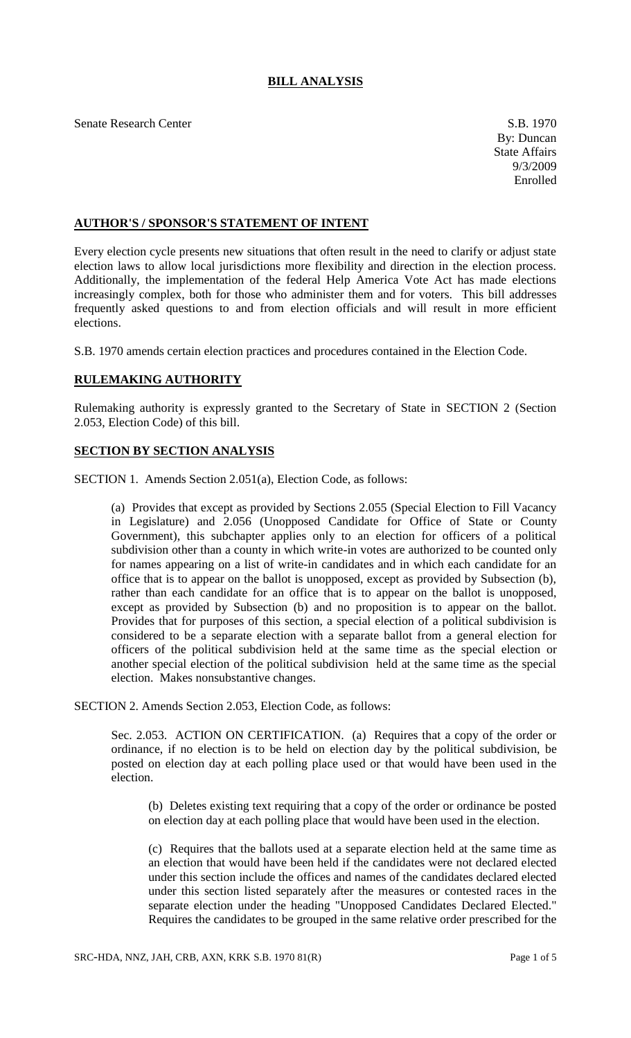# **BILL ANALYSIS**

Senate Research Center S.B. 1970

#### **AUTHOR'S / SPONSOR'S STATEMENT OF INTENT**

Every election cycle presents new situations that often result in the need to clarify or adjust state election laws to allow local jurisdictions more flexibility and direction in the election process. Additionally, the implementation of the federal Help America Vote Act has made elections increasingly complex, both for those who administer them and for voters. This bill addresses frequently asked questions to and from election officials and will result in more efficient elections.

S.B. 1970 amends certain election practices and procedures contained in the Election Code.

### **RULEMAKING AUTHORITY**

Rulemaking authority is expressly granted to the Secretary of State in SECTION 2 (Section 2.053, Election Code) of this bill.

### **SECTION BY SECTION ANALYSIS**

SECTION 1. Amends Section 2.051(a), Election Code, as follows:

(a) Provides that except as provided by Sections 2.055 (Special Election to Fill Vacancy in Legislature) and 2.056 (Unopposed Candidate for Office of State or County Government), this subchapter applies only to an election for officers of a political subdivision other than a county in which write-in votes are authorized to be counted only for names appearing on a list of write-in candidates and in which each candidate for an office that is to appear on the ballot is unopposed, except as provided by Subsection (b), rather than each candidate for an office that is to appear on the ballot is unopposed, except as provided by Subsection (b) and no proposition is to appear on the ballot. Provides that for purposes of this section, a special election of a political subdivision is considered to be a separate election with a separate ballot from a general election for officers of the political subdivision held at the same time as the special election or another special election of the political subdivision held at the same time as the special election. Makes nonsubstantive changes.

SECTION 2. Amends Section 2.053, Election Code, as follows:

Sec. 2.053. ACTION ON CERTIFICATION. (a) Requires that a copy of the order or ordinance, if no election is to be held on election day by the political subdivision, be posted on election day at each polling place used or that would have been used in the election.

(b) Deletes existing text requiring that a copy of the order or ordinance be posted on election day at each polling place that would have been used in the election.

(c) Requires that the ballots used at a separate election held at the same time as an election that would have been held if the candidates were not declared elected under this section include the offices and names of the candidates declared elected under this section listed separately after the measures or contested races in the separate election under the heading "Unopposed Candidates Declared Elected." Requires the candidates to be grouped in the same relative order prescribed for the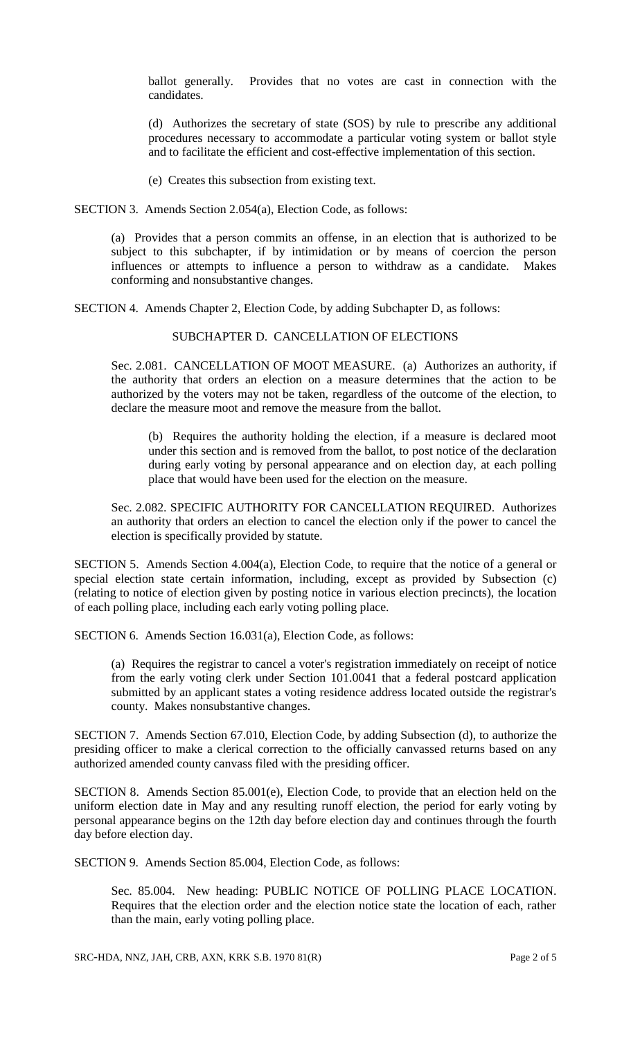ballot generally. Provides that no votes are cast in connection with the candidates.

(d) Authorizes the secretary of state (SOS) by rule to prescribe any additional procedures necessary to accommodate a particular voting system or ballot style and to facilitate the efficient and cost-effective implementation of this section.

(e) Creates this subsection from existing text.

SECTION 3. Amends Section 2.054(a), Election Code, as follows:

(a) Provides that a person commits an offense, in an election that is authorized to be subject to this subchapter, if by intimidation or by means of coercion the person influences or attempts to influence a person to withdraw as a candidate. Makes conforming and nonsubstantive changes.

SECTION 4. Amends Chapter 2, Election Code, by adding Subchapter D, as follows:

## SUBCHAPTER D. CANCELLATION OF ELECTIONS

Sec. 2.081. CANCELLATION OF MOOT MEASURE. (a) Authorizes an authority, if the authority that orders an election on a measure determines that the action to be authorized by the voters may not be taken, regardless of the outcome of the election, to declare the measure moot and remove the measure from the ballot.

(b) Requires the authority holding the election, if a measure is declared moot under this section and is removed from the ballot, to post notice of the declaration during early voting by personal appearance and on election day, at each polling place that would have been used for the election on the measure.

Sec. 2.082. SPECIFIC AUTHORITY FOR CANCELLATION REQUIRED. Authorizes an authority that orders an election to cancel the election only if the power to cancel the election is specifically provided by statute.

SECTION 5. Amends Section 4.004(a), Election Code, to require that the notice of a general or special election state certain information, including, except as provided by Subsection (c) (relating to notice of election given by posting notice in various election precincts), the location of each polling place, including each early voting polling place.

SECTION 6. Amends Section 16.031(a), Election Code, as follows:

(a) Requires the registrar to cancel a voter's registration immediately on receipt of notice from the early voting clerk under Section 101.0041 that a federal postcard application submitted by an applicant states a voting residence address located outside the registrar's county. Makes nonsubstantive changes.

SECTION 7. Amends Section 67.010, Election Code, by adding Subsection (d), to authorize the presiding officer to make a clerical correction to the officially canvassed returns based on any authorized amended county canvass filed with the presiding officer.

SECTION 8. Amends Section 85.001(e), Election Code, to provide that an election held on the uniform election date in May and any resulting runoff election, the period for early voting by personal appearance begins on the 12th day before election day and continues through the fourth day before election day.

SECTION 9. Amends Section 85.004, Election Code, as follows:

Sec. 85.004. New heading: PUBLIC NOTICE OF POLLING PLACE LOCATION. Requires that the election order and the election notice state the location of each, rather than the main, early voting polling place.

SRC-HDA, NNZ, JAH, CRB, AXN, KRK S.B. 1970 81(R) Page 2 of 5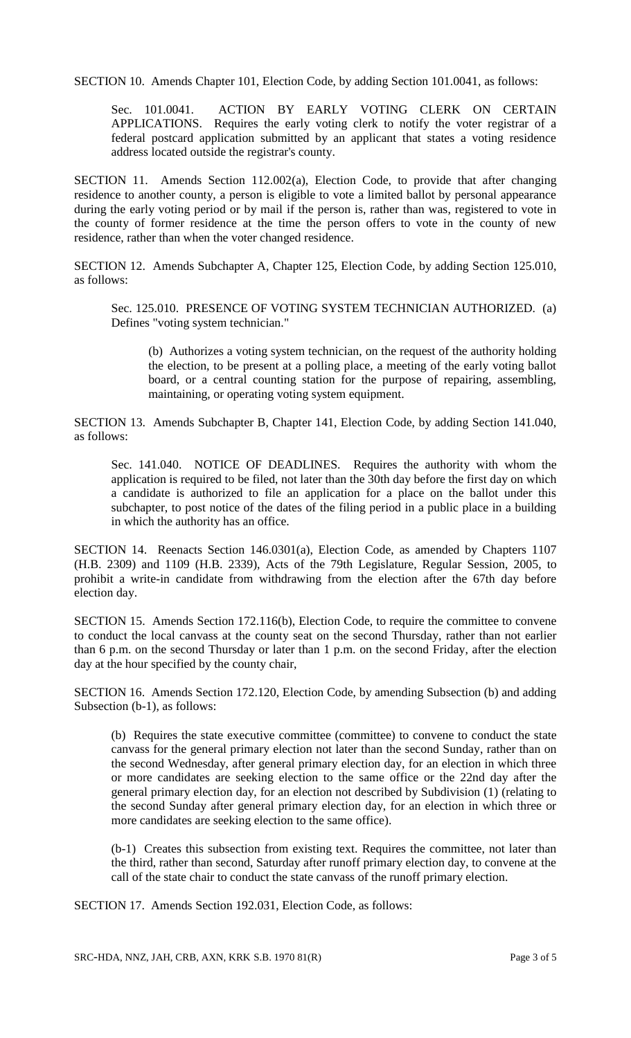SECTION 10. Amends Chapter 101, Election Code, by adding Section 101.0041, as follows:

Sec. 101.0041. ACTION BY EARLY VOTING CLERK ON CERTAIN APPLICATIONS. Requires the early voting clerk to notify the voter registrar of a federal postcard application submitted by an applicant that states a voting residence address located outside the registrar's county.

SECTION 11. Amends Section 112.002(a), Election Code, to provide that after changing residence to another county, a person is eligible to vote a limited ballot by personal appearance during the early voting period or by mail if the person is, rather than was, registered to vote in the county of former residence at the time the person offers to vote in the county of new residence, rather than when the voter changed residence.

SECTION 12. Amends Subchapter A, Chapter 125, Election Code, by adding Section 125.010, as follows:

Sec. 125.010. PRESENCE OF VOTING SYSTEM TECHNICIAN AUTHORIZED. (a) Defines "voting system technician."

(b) Authorizes a voting system technician, on the request of the authority holding the election, to be present at a polling place, a meeting of the early voting ballot board, or a central counting station for the purpose of repairing, assembling, maintaining, or operating voting system equipment.

SECTION 13. Amends Subchapter B, Chapter 141, Election Code, by adding Section 141.040, as follows:

Sec. 141.040. NOTICE OF DEADLINES. Requires the authority with whom the application is required to be filed, not later than the 30th day before the first day on which a candidate is authorized to file an application for a place on the ballot under this subchapter, to post notice of the dates of the filing period in a public place in a building in which the authority has an office.

SECTION 14. Reenacts Section 146.0301(a), Election Code, as amended by Chapters 1107 (H.B. 2309) and 1109 (H.B. 2339), Acts of the 79th Legislature, Regular Session, 2005, to prohibit a write-in candidate from withdrawing from the election after the 67th day before election day.

SECTION 15. Amends Section 172.116(b), Election Code, to require the committee to convene to conduct the local canvass at the county seat on the second Thursday, rather than not earlier than 6 p.m. on the second Thursday or later than 1 p.m. on the second Friday, after the election day at the hour specified by the county chair,

SECTION 16. Amends Section 172.120, Election Code, by amending Subsection (b) and adding Subsection (b-1), as follows:

(b) Requires the state executive committee (committee) to convene to conduct the state canvass for the general primary election not later than the second Sunday, rather than on the second Wednesday, after general primary election day, for an election in which three or more candidates are seeking election to the same office or the 22nd day after the general primary election day, for an election not described by Subdivision (1) (relating to the second Sunday after general primary election day, for an election in which three or more candidates are seeking election to the same office).

(b-1) Creates this subsection from existing text. Requires the committee, not later than the third, rather than second, Saturday after runoff primary election day, to convene at the call of the state chair to conduct the state canvass of the runoff primary election.

SECTION 17. Amends Section 192.031, Election Code, as follows:

SRC-HDA, NNZ, JAH, CRB, AXN, KRK S.B. 1970 81(R) Page 3 of 5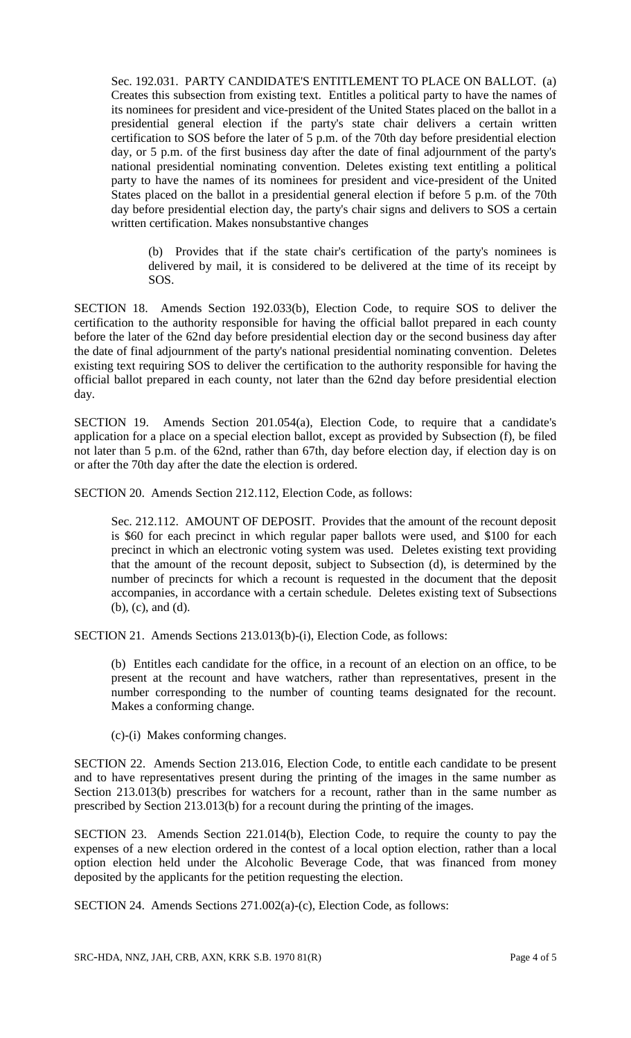Sec. 192.031. PARTY CANDIDATE'S ENTITLEMENT TO PLACE ON BALLOT. (a) Creates this subsection from existing text. Entitles a political party to have the names of its nominees for president and vice-president of the United States placed on the ballot in a presidential general election if the party's state chair delivers a certain written certification to SOS before the later of 5 p.m. of the 70th day before presidential election day, or 5 p.m. of the first business day after the date of final adjournment of the party's national presidential nominating convention. Deletes existing text entitling a political party to have the names of its nominees for president and vice-president of the United States placed on the ballot in a presidential general election if before 5 p.m. of the 70th day before presidential election day, the party's chair signs and delivers to SOS a certain written certification. Makes nonsubstantive changes

(b) Provides that if the state chair's certification of the party's nominees is delivered by mail, it is considered to be delivered at the time of its receipt by SOS.

SECTION 18. Amends Section 192.033(b), Election Code, to require SOS to deliver the certification to the authority responsible for having the official ballot prepared in each county before the later of the 62nd day before presidential election day or the second business day after the date of final adjournment of the party's national presidential nominating convention. Deletes existing text requiring SOS to deliver the certification to the authority responsible for having the official ballot prepared in each county, not later than the 62nd day before presidential election day.

SECTION 19. Amends Section 201.054(a), Election Code, to require that a candidate's application for a place on a special election ballot, except as provided by Subsection (f), be filed not later than 5 p.m. of the 62nd, rather than 67th, day before election day, if election day is on or after the 70th day after the date the election is ordered.

SECTION 20. Amends Section 212.112, Election Code, as follows:

Sec. 212.112. AMOUNT OF DEPOSIT. Provides that the amount of the recount deposit is \$60 for each precinct in which regular paper ballots were used, and \$100 for each precinct in which an electronic voting system was used. Deletes existing text providing that the amount of the recount deposit, subject to Subsection (d), is determined by the number of precincts for which a recount is requested in the document that the deposit accompanies, in accordance with a certain schedule. Deletes existing text of Subsections (b), (c), and (d).

SECTION 21. Amends Sections 213.013(b)-(i), Election Code, as follows:

(b) Entitles each candidate for the office, in a recount of an election on an office, to be present at the recount and have watchers, rather than representatives, present in the number corresponding to the number of counting teams designated for the recount. Makes a conforming change.

(c)-(i) Makes conforming changes.

SECTION 22. Amends Section 213.016, Election Code, to entitle each candidate to be present and to have representatives present during the printing of the images in the same number as Section 213.013(b) prescribes for watchers for a recount, rather than in the same number as prescribed by Section 213.013(b) for a recount during the printing of the images.

SECTION 23. Amends Section 221.014(b), Election Code, to require the county to pay the expenses of a new election ordered in the contest of a local option election, rather than a local option election held under the Alcoholic Beverage Code, that was financed from money deposited by the applicants for the petition requesting the election.

SECTION 24. Amends Sections 271.002(a)-(c), Election Code, as follows: